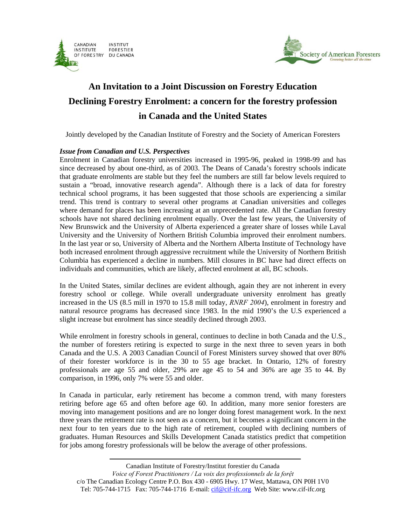



# **An Invitation to a Joint Discussion on Forestry Education Declining Forestry Enrolment: a concern for the forestry profession in Canada and the United States**

Jointly developed by the Canadian Institute of Forestry and the Society of American Foresters

### *Issue from Canadian and U.S. Perspectives*

Enrolment in Canadian forestry universities increased in 1995-96, peaked in 1998-99 and has since decreased by about one-third, as of 2003. The Deans of Canada's forestry schools indicate that graduate enrolments are stable but they feel the numbers are still far below levels required to sustain a "broad, innovative research agenda". Although there is a lack of data for forestry technical school programs, it has been suggested that those schools are experiencing a similar trend. This trend is contrary to several other programs at Canadian universities and colleges where demand for places has been increasing at an unprecedented rate. All the Canadian forestry schools have not shared declining enrolment equally. Over the last few years, the University of New Brunswick and the University of Alberta experienced a greater share of losses while Laval University and the University of Northern British Columbia improved their enrolment numbers. In the last year or so, University of Alberta and the Northern Alberta Institute of Technology have both increased enrolment through aggressive recruitment while the University of Northern British Columbia has experienced a decline in numbers. Mill closures in BC have had direct effects on individuals and communities, which are likely, affected enrolment at all, BC schools.

In the United States, similar declines are evident although, again they are not inherent in every forestry school or college. While overall undergraduate university enrolment has greatly increased in the US (8.5 mill in 1970 to 15.8 mill today, *RNRF 2004*), enrolment in forestry and natural resource programs has decreased since 1983. In the mid 1990's the U.S experienced a slight increase but enrolment has since steadily declined through 2003.

While enrolment in forestry schools in general, continues to decline in both Canada and the U.S., the number of foresters retiring is expected to surge in the next three to seven years in both Canada and the U.S. A 2003 Canadian Council of Forest Ministers survey showed that over 80% of their forester workforce is in the 30 to 55 age bracket. In Ontario, 12% of forestry professionals are age 55 and older, 29% are age 45 to 54 and 36% are age 35 to 44. By comparison, in 1996, only 7% were 55 and older.

In Canada in particular, early retirement has become a common trend, with many foresters retiring before age 65 and often before age 60. In addition, many more senior foresters are moving into management positions and are no longer doing forest management work. In the next three years the retirement rate is not seen as a concern, but it becomes a significant concern in the next four to ten years due to the high rate of retirement, coupled with declining numbers of graduates. Human Resources and Skills Development Canada statistics predict that competition for jobs among forestry professionals will be below the average of other professions.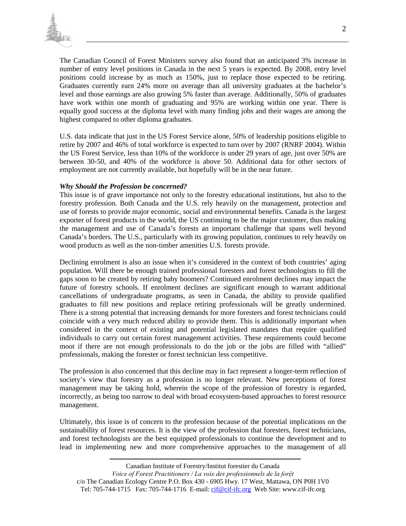

The Canadian Council of Forest Ministers survey also found that an anticipated 3% increase in number of entry level positions in Canada in the next 5 years is expected. By 2008, entry level positions could increase by as much as 150%, just to replace those expected to be retiring. Graduates currently earn 24% more on average than all university graduates at the bachelor's level and those earnings are also growing 5% faster than average. Additionally, 50% of graduates have work within one month of graduating and 95% are working within one year. There is equally good success at the diploma level with many finding jobs and their wages are among the highest compared to other diploma graduates.

U.S. data indicate that just in the US Forest Service alone, 50% of leadership positions eligible to retire by 2007 and 46% of total workforce is expected to turn over by 2007 (RNRF 2004). Within the US Forest Service, less than 10% of the workforce is under 29 years of age, just over 50% are between 30-50, and 40% of the workforce is above 50. Additional data for other sectors of employment are not currently available, but hopefully will be in the near future.

### *Why Should the Profession be concerned?*

This issue is of grave importance not only to the forestry educational institutions, but also to the forestry profession. Both Canada and the U.S. rely heavily on the management, protection and use of forests to provide major economic, social and environmental benefits. Canada is the largest exporter of forest products in the world, the US continuing to be the major customer, thus making the management and use of Canada's forests an important challenge that spans well beyond Canada's borders. The U.S., particularly with its growing population, continues to rely heavily on wood products as well as the non-timber amenities U.S. forests provide.

Declining enrolment is also an issue when it's considered in the context of both countries' aging population. Will there be enough trained professional foresters and forest technologists to fill the gaps soon to be created by retiring baby boomers? Continued enrolment declines may impact the future of forestry schools. If enrolment declines are significant enough to warrant additional cancellations of undergraduate programs, as seen in Canada, the ability to provide qualified graduates to fill new positions and replace retiring professionals will be greatly undermined. There is a strong potential that increasing demands for more foresters and forest technicians could coincide with a very much reduced ability to provide them. This is additionally important when considered in the context of existing and potential legislated mandates that require qualified individuals to carry out certain forest management activities. These requirements could become moot if there are not enough professionals to do the job or the jobs are filled with "allied" professionals, making the forester or forest technician less competitive.

The profession is also concerned that this decline may in fact represent a longer-term reflection of society's view that forestry as a profession is no longer relevant. New perceptions of forest management may be taking hold, wherein the scope of the profession of forestry is regarded, incorrectly, as being too narrow to deal with broad ecosystem-based approaches to forest resource management.

Ultimately, this issue is of concern to the profession because of the potential implications on the sustainability of forest resources. It is the view of the profession that foresters, forest technicians, and forest technologists are the best equipped professionals to continue the development and to lead in implementing new and more comprehensive approaches to the management of all